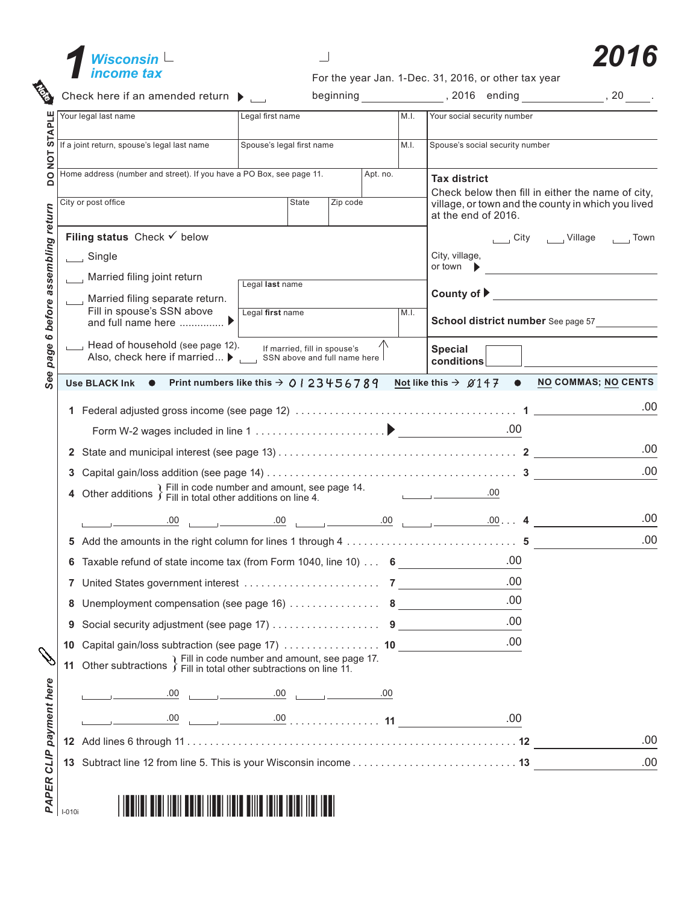



| STAPL | Your legal last name                                                       | Legal first name                                                        |       |                              | M.I.     | Your social security number |                                           |     |                |                                                                                                         |
|-------|----------------------------------------------------------------------------|-------------------------------------------------------------------------|-------|------------------------------|----------|-----------------------------|-------------------------------------------|-----|----------------|---------------------------------------------------------------------------------------------------------|
| TON   | If a joint return, spouse's legal last name                                | Spouse's legal first name                                               |       |                              |          | M.I.                        | Spouse's social security number           |     |                |                                                                                                         |
|       | Home address (number and street). If you have a PO Box, see page 11.       |                                                                         |       |                              | Apt. no. |                             | <b>Tax district</b>                       |     |                |                                                                                                         |
|       | City or post office                                                        |                                                                         | State | Zip code                     |          |                             | at the end of 2016.                       |     |                | Check below then fill in either the name of city,<br>village, or town and the county in which you lived |
|       | Filing status Check $\checkmark$ below                                     |                                                                         |       |                              |          |                             |                                           |     | City   Village | , Town                                                                                                  |
|       | $\Box$ Single                                                              |                                                                         |       |                              |          |                             | City, village,                            |     |                |                                                                                                         |
|       | Married filing joint return                                                | Legal last name                                                         |       |                              |          |                             | or town $\blacktriangleright$             |     |                | the control of the control of the control of the control of the control of                              |
|       | Married filing separate return.                                            |                                                                         |       |                              |          | County of $\triangleright$  |                                           |     |                |                                                                                                         |
|       | Fill in spouse's SSN above<br>and full name here  ▶                        | Legal first name                                                        |       |                              |          | M.I.                        |                                           |     |                | School district number See page 57                                                                      |
|       | Head of household (see page 12).<br>Also, check here if married ▶          | SSN above and full name here                                            |       | If married, fill in spouse's |          |                             | <b>Special</b><br>conditions              |     |                |                                                                                                         |
|       | Use BLACK Ink $\bullet$ Print numbers like this $\rightarrow$ 0   23456789 |                                                                         |       |                              |          |                             |                                           |     |                | Not like this $\rightarrow$ $\emptyset$ 147 $\bullet$ NO COMMAS; NO CENTS                               |
|       |                                                                            |                                                                         |       |                              |          |                             |                                           |     |                | .00                                                                                                     |
|       |                                                                            |                                                                         |       |                              |          |                             |                                           |     |                |                                                                                                         |
|       |                                                                            |                                                                         |       |                              |          |                             |                                           | .00 |                |                                                                                                         |
|       |                                                                            |                                                                         |       |                              |          |                             |                                           |     |                |                                                                                                         |
| 3     |                                                                            |                                                                         |       |                              |          |                             |                                           |     |                | .00                                                                                                     |
| 4     | Other additions $\}$ Fill in code number and amount, see page 14.          |                                                                         |       |                              |          |                             | <u> 1999 - Jan Barnett, fransk kongre</u> | .00 |                |                                                                                                         |
|       |                                                                            |                                                                         |       |                              |          |                             |                                           |     |                | .00                                                                                                     |
|       |                                                                            |                                                                         |       |                              |          |                             |                                           |     |                | .00                                                                                                     |
| 6     |                                                                            | Taxable refund of state income tax (from Form 1040, line 10) $\ldots$ 6 |       |                              |          |                             | .00                                       |     |                |                                                                                                         |
|       |                                                                            |                                                                         |       |                              |          |                             |                                           | .00 |                |                                                                                                         |
| 8     |                                                                            |                                                                         |       |                              |          |                             |                                           | .00 |                |                                                                                                         |
| 9     |                                                                            |                                                                         |       |                              |          |                             |                                           | .00 |                |                                                                                                         |
| 10    |                                                                            |                                                                         |       |                              |          |                             |                                           | .00 |                |                                                                                                         |
|       | 11 Other subtractions $\}$ Fill in code number and amount, see page 17.    |                                                                         |       |                              |          |                             |                                           |     |                |                                                                                                         |
|       |                                                                            |                                                                         |       |                              |          |                             |                                           |     |                |                                                                                                         |
|       |                                                                            |                                                                         |       |                              |          |                             |                                           | .00 |                |                                                                                                         |
|       |                                                                            |                                                                         |       |                              |          |                             |                                           |     |                | .00                                                                                                     |
|       |                                                                            |                                                                         |       |                              |          |                             |                                           |     |                | .00                                                                                                     |
|       |                                                                            |                                                                         |       |                              |          |                             |                                           |     |                |                                                                                                         |
|       |                                                                            |                                                                         |       |                              |          |                             |                                           |     |                |                                                                                                         |

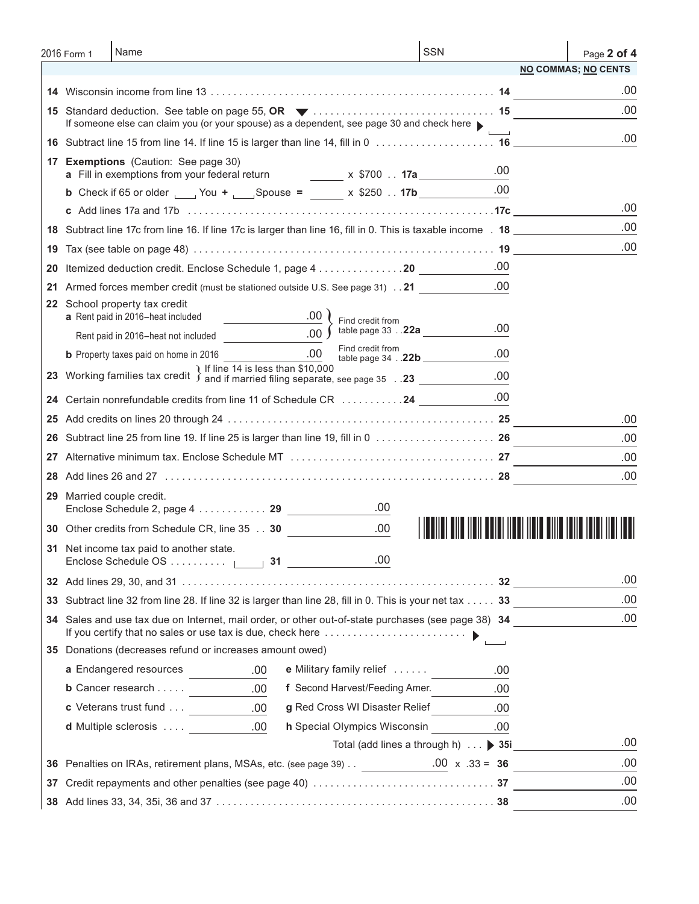|    | 2016 Form 1 | Name                                                                                                          |                          | <b>SSN</b>                                 |                                       | Page 2 of 4                |
|----|-------------|---------------------------------------------------------------------------------------------------------------|--------------------------|--------------------------------------------|---------------------------------------|----------------------------|
|    |             |                                                                                                               |                          |                                            |                                       | <b>NO COMMAS; NO CENTS</b> |
|    |             |                                                                                                               |                          |                                            |                                       | .00                        |
|    |             | If someone else can claim you (or your spouse) as a dependent, see page 30 and check here                     |                          |                                            |                                       | .00                        |
|    |             |                                                                                                               |                          |                                            |                                       | .00                        |
|    |             | 17 Exemptions (Caution: See page 30)                                                                          |                          |                                            |                                       |                            |
|    |             | a Fill in exemptions from your federal return                                                                 |                          | x \$700 <b>17a</b>                         | .00<br>.00                            |                            |
|    |             | <b>b</b> Check if 65 or older ______ You + ______ Spouse = ______ x \$250 17b __________                      |                          |                                            |                                       | .00                        |
|    |             |                                                                                                               |                          |                                            |                                       | .00                        |
|    |             | 18 Subtract line 17c from line 16. If line 17c is larger than line 16, fill in 0. This is taxable income . 18 |                          |                                            |                                       | .00                        |
| 19 |             |                                                                                                               |                          |                                            |                                       |                            |
| 20 |             | Itemized deduction credit. Enclose Schedule 1, page 4 20                                                      |                          |                                            | .00                                   |                            |
| 21 |             | Armed forces member credit (must be stationed outside U.S. See page 31) 21                                    |                          |                                            | .00                                   |                            |
|    |             | 22 School property tax credit<br>$\frac{00}{2}$<br>a Rent paid in 2016-heat included                          | Find credit from         |                                            |                                       |                            |
|    |             |                                                                                                               |                          | $\overline{0.00}$ $\int$ table page 33 22a | .00                                   |                            |
|    |             |                                                                                                               | Find credit from         | table page 34 . 22b                        | .00                                   |                            |
|    |             | 23 Working families tax credit $\int$ If line 14 is less than \$10,000                                        |                          |                                            | .00                                   |                            |
| 24 |             | Certain nonrefundable credits from line 11 of Schedule CR 24                                                  |                          |                                            | .00                                   |                            |
| 25 |             |                                                                                                               |                          |                                            |                                       | .00                        |
|    |             | Subtract line 25 from line 19. If line 25 is larger than line 19, fill in 0  26                               |                          |                                            |                                       | .00                        |
|    |             |                                                                                                               |                          |                                            |                                       | .00                        |
| 28 |             |                                                                                                               |                          |                                            |                                       | .00                        |
|    |             | 29 Married couple credit.<br>Enclose Schedule 2, page 4 29                                                    | .00                      |                                            |                                       |                            |
|    |             | 30 Other credits from Schedule CR, line 35 30                                                                 | .00.                     |                                            | <u> IIII IIIIII IIIIII IIIII IIII</u> |                            |
|    |             | 31 Net income tax paid to another state.                                                                      | .00                      |                                            |                                       |                            |
|    |             |                                                                                                               |                          |                                            |                                       | .00                        |
| 33 |             | Subtract line 32 from line 28. If line 32 is larger than line 28, fill in 0. This is your net tax 33          |                          |                                            |                                       | .00                        |
|    |             | 34 Sales and use tax due on Internet, mail order, or other out-of-state purchases (see page 38) 34            |                          |                                            |                                       | .00                        |
|    |             |                                                                                                               |                          |                                            |                                       |                            |
|    |             | 35 Donations (decreases refund or increases amount owed)                                                      |                          |                                            |                                       |                            |
|    |             | a Endangered resources<br>.00                                                                                 | e Military family relief |                                            | .00                                   |                            |
|    |             | <b>b</b> Cancer research $\qquad \qquad 00$                                                                   |                          | f Second Harvest/Feeding Amer.             | .00                                   |                            |
|    |             | <b>c</b> Veterans trust fund 00                                                                               |                          | g Red Cross WI Disaster Relief             | .00                                   |                            |
|    |             | d Multiple sclerosis  00                                                                                      |                          | h Special Olympics Wisconsin .00           |                                       |                            |
|    |             |                                                                                                               |                          | Total (add lines a through h) ▶ 35i        |                                       | .00.                       |
|    |             | 36 Penalties on IRAs, retirement plans, MSAs, etc. (see page 39) $\ldots$ 00 x .33 = 36                       |                          |                                            |                                       | .00                        |
| 37 |             |                                                                                                               |                          |                                            |                                       | .00                        |
|    |             |                                                                                                               |                          |                                            |                                       | .00                        |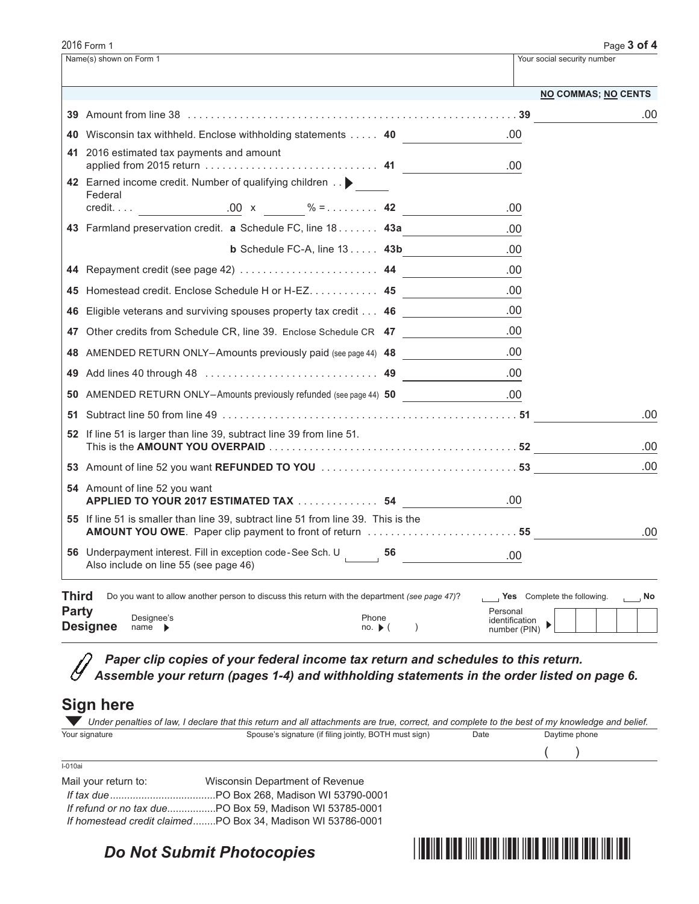|                       | 2016 Form 1                                                                                                          |                                                                                                                                                                                                                                                                                                                                                                         | Page 3 of 4       |
|-----------------------|----------------------------------------------------------------------------------------------------------------------|-------------------------------------------------------------------------------------------------------------------------------------------------------------------------------------------------------------------------------------------------------------------------------------------------------------------------------------------------------------------------|-------------------|
|                       | Name(s) shown on Form 1                                                                                              | Your social security number                                                                                                                                                                                                                                                                                                                                             |                   |
|                       |                                                                                                                      | <b>NO COMMAS; NO CENTS</b>                                                                                                                                                                                                                                                                                                                                              |                   |
|                       |                                                                                                                      |                                                                                                                                                                                                                                                                                                                                                                         | .00               |
|                       | 40 Wisconsin tax withheld. Enclose withholding statements 40                                                         | .00                                                                                                                                                                                                                                                                                                                                                                     |                   |
|                       | 41 2016 estimated tax payments and amount                                                                            | .00                                                                                                                                                                                                                                                                                                                                                                     |                   |
|                       | 42 Earned income credit. Number of qualifying children ><br>Federal                                                  | .00                                                                                                                                                                                                                                                                                                                                                                     |                   |
|                       | 43 Farmland preservation credit. a Schedule FC, line 18 43a                                                          | .00.                                                                                                                                                                                                                                                                                                                                                                    |                   |
|                       | <b>b</b> Schedule FC-A, line $13$ $43b$                                                                              | .00                                                                                                                                                                                                                                                                                                                                                                     |                   |
|                       | 44 Repayment credit (see page 42)  44                                                                                | .00                                                                                                                                                                                                                                                                                                                                                                     |                   |
|                       | 45 Homestead credit. Enclose Schedule H or H-EZ. 45                                                                  | .00                                                                                                                                                                                                                                                                                                                                                                     |                   |
|                       | 46 Eligible veterans and surviving spouses property tax credit 46                                                    | .00                                                                                                                                                                                                                                                                                                                                                                     |                   |
|                       | 47 Other credits from Schedule CR, line 39. Enclose Schedule CR 47                                                   | .00                                                                                                                                                                                                                                                                                                                                                                     |                   |
|                       | 48 AMENDED RETURN ONLY-Amounts previously paid (see page 44) 48                                                      | .00                                                                                                                                                                                                                                                                                                                                                                     |                   |
|                       |                                                                                                                      | .00                                                                                                                                                                                                                                                                                                                                                                     |                   |
|                       | 50 AMENDED RETURN ONLY-Amounts previously refunded (see page 44) 50                                                  | .00                                                                                                                                                                                                                                                                                                                                                                     |                   |
|                       |                                                                                                                      |                                                                                                                                                                                                                                                                                                                                                                         | .00               |
|                       | 52 If line 51 is larger than line 39, subtract line 39 from line 51.                                                 |                                                                                                                                                                                                                                                                                                                                                                         |                   |
|                       |                                                                                                                      |                                                                                                                                                                                                                                                                                                                                                                         | .00               |
|                       |                                                                                                                      |                                                                                                                                                                                                                                                                                                                                                                         | .00               |
|                       | 54 Amount of line 52 you want<br>APPLIED TO YOUR 2017 ESTIMATED TAX  54                                              | .00                                                                                                                                                                                                                                                                                                                                                                     |                   |
|                       | 55 If line 51 is smaller than line 39, subtract line 51 from line 39. This is the                                    |                                                                                                                                                                                                                                                                                                                                                                         | .00               |
|                       | 56 Underpayment interest. Fill in exception code-See Sch. U 56<br>Also include on line 55 (see page 46)              | .00<br><u>and the community of the community</u>                                                                                                                                                                                                                                                                                                                        |                   |
| Third<br><b>Party</b> | Do you want to allow another person to discuss this return with the department (see page 47)?<br>Designee's<br>Phone | Yes Complete the following.<br>Personal<br>identification                                                                                                                                                                                                                                                                                                               | $\overline{a}$ No |
|                       | <b>Designee</b><br>$name \rightarrow$<br>$no.$ $\blacktriangleright$ (<br>$\lambda$                                  | $\begin{picture}(160,10) \put(0,0){\dashbox{0.5}(10,0){ }} \put(10,0){\dashbox{0.5}(10,0){ }} \put(10,0){\dashbox{0.5}(10,0){ }} \put(10,0){\dashbox{0.5}(10,0){ }} \put(10,0){\dashbox{0.5}(10,0){ }} \put(10,0){\dashbox{0.5}(10,0){ }} \put(10,0){\dashbox{0.5}(10,0){ }} \put(10,0){\dashbox{0.5}(10,0){ }} \put(10,0){\dashbox{0.5}(10,0){ }} \put(10,0){\dashbox$ |                   |

*Paper clip copies of your federal income tax return and schedules to this return. Assemble your return (pages 1-4) and withholding statements in the order listed on page 6.*

## **Sign here**

|                      | Under penalties of law, I declare that this return and all attachments are true, correct, and complete to the best of my knowledge and belief. |      |               |  |
|----------------------|------------------------------------------------------------------------------------------------------------------------------------------------|------|---------------|--|
| Your signature       | Spouse's signature (if filing jointly, BOTH must sign)                                                                                         | Date | Daytime phone |  |
|                      |                                                                                                                                                |      |               |  |
| $I-010ai$            |                                                                                                                                                |      |               |  |
| Mail your return to: | Wisconsin Department of Revenue                                                                                                                |      |               |  |
| If tax due.          | PO Box 268, Madison WI 53790-0001                                                                                                              |      |               |  |

| <i>If refund or no tax due</i> PO Box 59. Madison WI 53785-0001 |  |  |
|-----------------------------------------------------------------|--|--|
| If homestead credit claimedPO Box 34. Madison WI 53786-0001     |  |  |

## *Do Not Submit Photocopies*